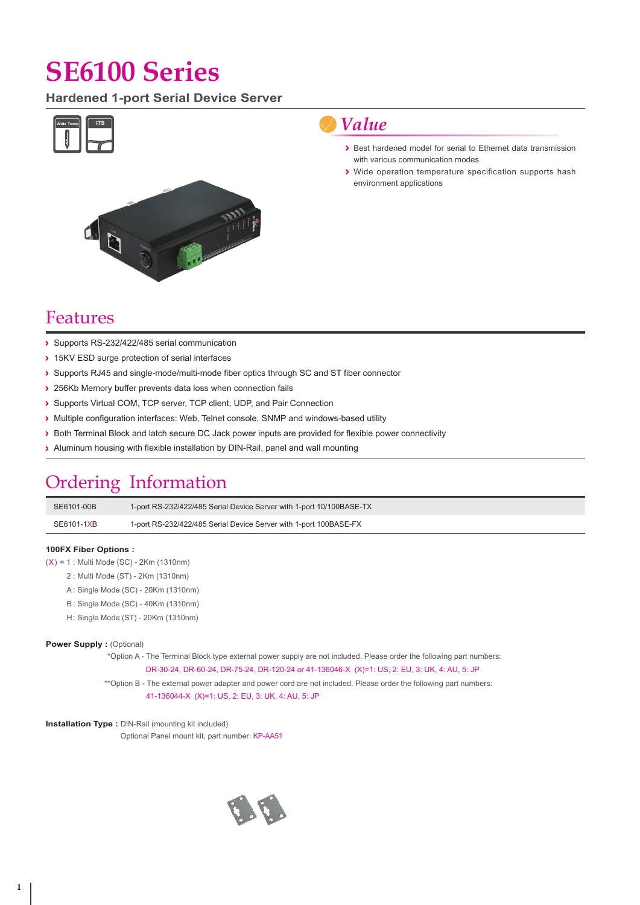# **SE6100 Series**

**Hardened 1-port Serial Device Server**



### *Value*

- > Best hardened model for serial to Ethernet data transmission with various communication modes
- Wide operation temperature specification supports hash environment applications

### Features

- Supports RS-232/422/485 serial communication
- > 15KV ESD surge protection of serial interfaces
- > Supports RJ45 and single-mode/multi-mode fiber optics through SC and ST fiber connector
- > 256Kb Memory buffer prevents data loss when connection fails
- Supports Virtual COM, TCP server, TCP client, UDP, and Pair Connection
- > Multiple configuration interfaces: Web, Telnet console, SNMP and windows-based utility
- > Both Terminal Block and latch secure DC Jack power inputs are provided for flexible power connectivity
- > Aluminum housing with flexible installation by DIN-Rail, panel and wall mounting

## Ordering Information

| SE6101-00B | 1-port RS-232/422/485 Serial Device Server with 1-port 10/100BASE-TX |
|------------|----------------------------------------------------------------------|
| SE6101-1XB | 1-port RS-232/422/485 Serial Device Server with 1-port 100BASE-FX    |

#### **100FX Fiber Options :**

- $(X) = 1$ : Multi Mode (SC) 2Km (1310nm)
	- 2 : Multi Mode (ST) 2Km (1310nm)
	- A : Single Mode (SC) 20Km (1310nm)
	- B : Single Mode (SC) 40Km (1310nm)
	- H: Single Mode (ST) 20Km (1310nm)

#### **Power Supply : (Optional)**

\*Option A - The Terminal Block type external power supply are not included. Please order the following part numbers: DR-30-24, DR-60-24, DR-75-24, DR-120-24 or 41-136046-X (X)=1: US, 2: EU, 3: UK, 4: AU, 5: JP

\*\*Option B - The external power adapter and power cord are not included. Please order the following part numbers: 41-136044-X (X)=1: US, 2: EU, 3: UK, 4: AU, 5: JP

**Installation Type :** DIN-Rail (mounting kit included)

Optional Panel mount kit, part number: KP-AA51